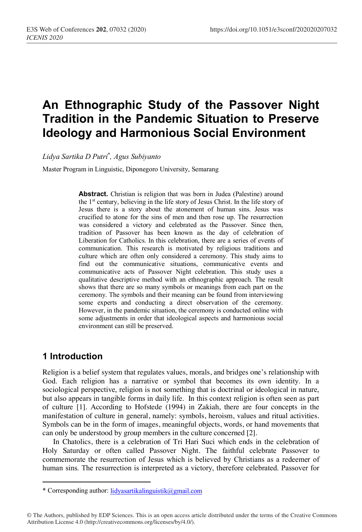# **An Ethnographic Study of the Passover Night Tradition in the Pandemic Situation to Preserve Ideology and Harmonious Social Environment**

*Lidya Sartika D Putri*\* *, Agus Subiyanto*

Master Program in Linguistic, Diponegoro University, Semarang

**Abstract.** Christian is religion that was born in Judea (Palestine) around the 1st century, believing in the life story of Jesus Christ. In the life story of Jesus there is a story about the atonement of human sins. Jesus was crucified to atone for the sins of men and then rose up. The resurrection was considered a victory and celebrated as the Passover. Since then, tradition of Passover has been known as the day of celebration of Liberation for Catholics. In this celebration, there are a series of events of communication. This research is motivated by religious traditions and culture which are often only considered a ceremony. This study aims to find out the communicative situations, communicative events and communicative acts of Passover Night celebration. This study uses a qualitative descriptive method with an ethnographic approach. The result shows that there are so many symbols or meanings from each part on the ceremony. The symbols and their meaning can be found from interviewing some experts and conducting a direct observation of the ceremony. However, in the pandemic situation, the ceremony is conducted online with some adjustments in order that ideological aspects and harmonious social environment can still be preserved.

## **1 Introduction**

Religion is a belief system that regulates values, morals, and bridges one's relationship with God. Each religion has a narrative or symbol that becomes its own identity. In a sociological perspective, religion is not something that is doctrinal or ideological in nature, but also appears in tangible forms in daily life. In this context religion is often seen as part of culture [1]. According to Hofstede (1994) in Zakiah, there are four concepts in the manifestation of culture in general, namely: symbols, heroism, values and ritual activities. Symbols can be in the form of images, meaningful objects, words, or hand movements that can only be understood by group members in the culture concerned [2].

In Chatolics, there is a celebration of Tri Hari Suci which ends in the celebration of Holy Saturday or often called Passover Night. The faithful celebrate Passover to commemorate the resurrection of Jesus which is believed by Christians as a redeemer of human sins. The resurrection is interpreted as a victory, therefore celebrated. Passover for

© The Authors, published by EDP Sciences. This is an open access article distributed under the terms of the Creative Commons Attribution License 4.0 (http://creativecommons.org/licenses/by/4.0/).

 \* Corresponding author: lidyasartikalinguistik@gmail.com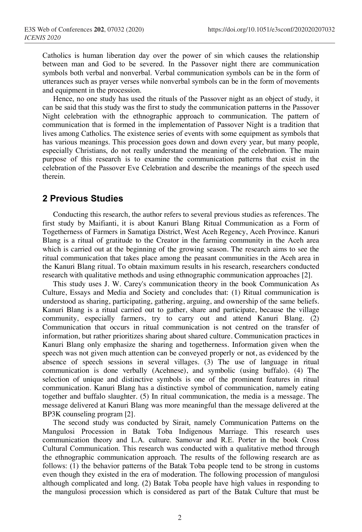Catholics is human liberation day over the power of sin which causes the relationship between man and God to be severed. In the Passover night there are communication symbols both verbal and nonverbal. Verbal communication symbols can be in the form of utterances such as prayer verses while nonverbal symbols can be in the form of movements and equipment in the procession.

Hence, no one study has used the rituals of the Passover night as an object of study, it can be said that this study was the first to study the communication patterns in the Passover Night celebration with the ethnographic approach to communication. The pattern of communication that is formed in the implementation of Passover Night is a tradition that lives among Catholics. The existence series of events with some equipment as symbols that has various meanings. This procession goes down and down every year, but many people, especially Christians, do not really understand the meaning of the celebration. The main purpose of this research is to examine the communication patterns that exist in the celebration of the Passover Eve Celebration and describe the meanings of the speech used therein.

### **2 Previous Studies**

Conducting this research, the author refers to several previous studies as references. The first study by Maifianti, it is about Kanuri Blang Ritual Communication as a Form of Togetherness of Farmers in Samatiga District, West Aceh Regency, Aceh Province. Kanuri Blang is a ritual of gratitude to the Creator in the farming community in the Aceh area which is carried out at the beginning of the growing season. The research aims to see the ritual communication that takes place among the peasant communities in the Aceh area in the Kanuri Blang ritual. To obtain maximum results in his research, researchers conducted research with qualitative methods and using ethnographic communication approaches [2].

This study uses J. W. Carey's communication theory in the book Communication As Culture, Essays and Media and Society and concludes that: (1) Ritual communication is understood as sharing, participating, gathering, arguing, and ownership of the same beliefs. Kanuri Blang is a ritual carried out to gather, share and participate, because the village community, especially farmers, try to carry out and attend Kanuri Blang. (2) Communication that occurs in ritual communication is not centred on the transfer of information, but rather prioritizes sharing about shared culture. Communication practices in Kanuri Blang only emphasize the sharing and togetherness. Information given when the speech was not given much attention can be conveyed properly or not, as evidenced by the absence of speech sessions in several villages. (3) The use of language in ritual communication is done verbally (Acehnese), and symbolic (using buffalo). (4) The selection of unique and distinctive symbols is one of the prominent features in ritual communication. Kanuri Blang has a distinctive symbol of communication, namely eating together and buffalo slaughter. (5) In ritual communication, the media is a message. The message delivered at Kanuri Blang was more meaningful than the message delivered at the BP3K counseling program [2].

The second study was conducted by Sirait, namely Communication Patterns on the Mangulosi Procession in Batak Toba Indigenous Marriage. This research uses communication theory and L.A. culture. Samovar and R.E. Porter in the book Cross Cultural Communication. This research was conducted with a qualitative method through the ethnographic communication approach. The results of the following research are as follows: (1) the behavior patterns of the Batak Toba people tend to be strong in customs even though they existed in the era of moderation. The following procession of mangulosi although complicated and long. (2) Batak Toba people have high values in responding to the mangulosi procession which is considered as part of the Batak Culture that must be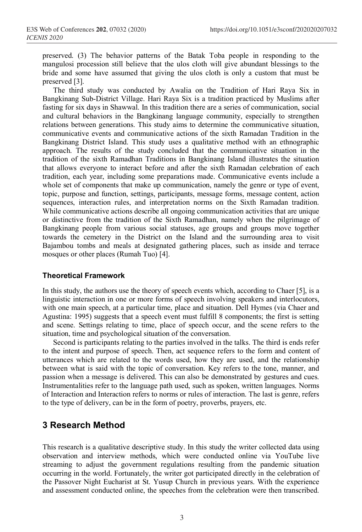preserved. (3) The behavior patterns of the Batak Toba people in responding to the mangulosi procession still believe that the ulos cloth will give abundant blessings to the bride and some have assumed that giving the ulos cloth is only a custom that must be preserved [3].

The third study was conducted by Awalia on the Tradition of Hari Raya Six in Bangkinang Sub-District Village. Hari Raya Six is a tradition practiced by Muslims after fasting for six days in Shawwal. In this tradition there are a series of communication, social and cultural behaviors in the Bangkinang language community, especially to strengthen relations between generations. This study aims to determine the communicative situation, communicative events and communicative actions of the sixth Ramadan Tradition in the Bangkinang District Island. This study uses a qualitative method with an ethnographic approach. The results of the study concluded that the communicative situation in the tradition of the sixth Ramadhan Traditions in Bangkinang Island illustrates the situation that allows everyone to interact before and after the sixth Ramadan celebration of each tradition, each year, including some preparations made. Communicative events include a whole set of components that make up communication, namely the genre or type of event, topic, purpose and function, settings, participants, message forms, message content, action sequences, interaction rules, and interpretation norms on the Sixth Ramadan tradition. While communicative actions describe all ongoing communication activities that are unique or distinctive from the tradition of the Sixth Ramadhan, namely when the pilgrimage of Bangkinang people from various social statuses, age groups and groups move together towards the cemetery in the District on the Island and the surrounding area to visit Bajambou tombs and meals at designated gathering places, such as inside and terrace mosques or other places (Rumah Tuo) [4].

#### **Theoretical Framework**

In this study, the authors use the theory of speech events which, according to Chaer [5], is a linguistic interaction in one or more forms of speech involving speakers and interlocutors, with one main speech, at a particular time, place and situation. Dell Hymes (via Chaer and Agustina: 1995) suggests that a speech event must fulfill 8 components; the first is setting and scene. Settings relating to time, place of speech occur, and the scene refers to the situation, time and psychological situation of the conversation.

Second is participants relating to the parties involved in the talks. The third is ends refer to the intent and purpose of speech. Then, act sequence refers to the form and content of utterances which are related to the words used, how they are used, and the relationship between what is said with the topic of conversation. Key refers to the tone, manner, and passion when a message is delivered. This can also be demonstrated by gestures and cues. Instrumentalities refer to the language path used, such as spoken, written languages. Norms of Interaction and Interaction refers to norms or rules of interaction. The last is genre, refers to the type of delivery, can be in the form of poetry, proverbs, prayers, etc.

### **3 Research Method**

This research is a qualitative descriptive study. In this study the writer collected data using observation and interview methods, which were conducted online via YouTube live streaming to adjust the government regulations resulting from the pandemic situation occurring in the world. Fortunately, the writer got participated directly in the celebration of the Passover Night Eucharist at St. Yusup Church in previous years. With the experience and assessment conducted online, the speeches from the celebration were then transcribed.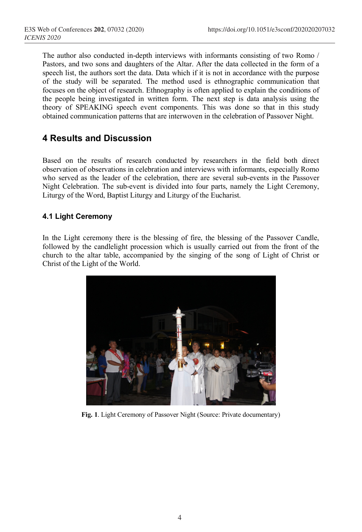The author also conducted in-depth interviews with informants consisting of two Romo / Pastors, and two sons and daughters of the Altar. After the data collected in the form of a speech list, the authors sort the data. Data which if it is not in accordance with the purpose of the study will be separated. The method used is ethnographic communication that focuses on the object of research. Ethnography is often applied to explain the conditions of the people being investigated in written form. The next step is data analysis using the theory of SPEAKING speech event components. This was done so that in this study obtained communication patterns that are interwoven in the celebration of Passover Night.

# **4 Results and Discussion**

Based on the results of research conducted by researchers in the field both direct observation of observations in celebration and interviews with informants, especially Romo who served as the leader of the celebration, there are several sub-events in the Passover Night Celebration. The sub-event is divided into four parts, namely the Light Ceremony, Liturgy of the Word, Baptist Liturgy and Liturgy of the Eucharist.

### **4.1 Light Ceremony**

In the Light ceremony there is the blessing of fire, the blessing of the Passover Candle, followed by the candlelight procession which is usually carried out from the front of the church to the altar table, accompanied by the singing of the song of Light of Christ or Christ of the Light of the World.



**Fig. 1**. Light Ceremony of Passover Night (Source: Private documentary)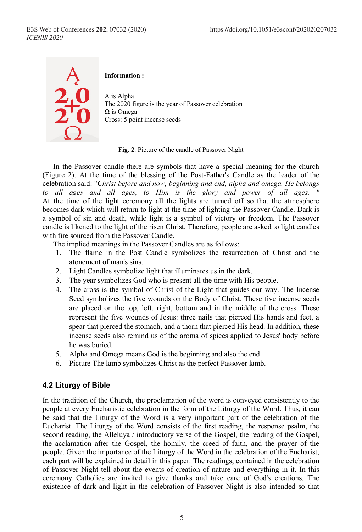

#### **Information :**

A is Alpha The 2020 figure is the year of Passover celebration Ω is Omega Cross: 5 point incense seeds

**Fig. 2**. Picture of the candle of Passover Night

In the Passover candle there are symbols that have a special meaning for the church (Figure 2). At the time of the blessing of the Post-Father's Candle as the leader of the celebration said: "*Christ before and now, beginning and end, alpha and omega. He belongs*  to all ages and all ages, to Him is the glory and power of all ages. At the time of the light ceremony all the lights are turned off so that the atmosphere becomes dark which will return to light at the time of lighting the Passover Candle. Dark is a symbol of sin and death, while light is a symbol of victory or freedom. The Passover candle is likened to the light of the risen Christ. Therefore, people are asked to light candles with fire sourced from the Passover Candle.

The implied meanings in the Passover Candles are as follows:

- 1. The flame in the Post Candle symbolizes the resurrection of Christ and the atonement of man's sins.
- 2. Light Candles symbolize light that illuminates us in the dark.
- 3. The year symbolizes God who is present all the time with His people.
- 4. The cross is the symbol of Christ of the Light that guides our way. The Incense Seed symbolizes the five wounds on the Body of Christ. These five incense seeds are placed on the top, left, right, bottom and in the middle of the cross. These represent the five wounds of Jesus: three nails that pierced His hands and feet, a spear that pierced the stomach, and a thorn that pierced His head. In addition, these incense seeds also remind us of the aroma of spices applied to Jesus' body before he was buried.
- 5. Alpha and Omega means God is the beginning and also the end.
- 6. Picture The lamb symbolizes Christ as the perfect Passover lamb.

#### **4.2 Liturgy of Bible**

In the tradition of the Church, the proclamation of the word is conveyed consistently to the people at every Eucharistic celebration in the form of the Liturgy of the Word. Thus, it can be said that the Liturgy of the Word is a very important part of the celebration of the Eucharist. The Liturgy of the Word consists of the first reading, the response psalm, the second reading, the Alleluya / introductory verse of the Gospel, the reading of the Gospel, the acclamation after the Gospel, the homily, the creed of faith, and the prayer of the people. Given the importance of the Liturgy of the Word in the celebration of the Eucharist, each part will be explained in detail in this paper. The readings, contained in the celebration of Passover Night tell about the events of creation of nature and everything in it. In this ceremony Catholics are invited to give thanks and take care of God's creations. The existence of dark and light in the celebration of Passover Night is also intended so that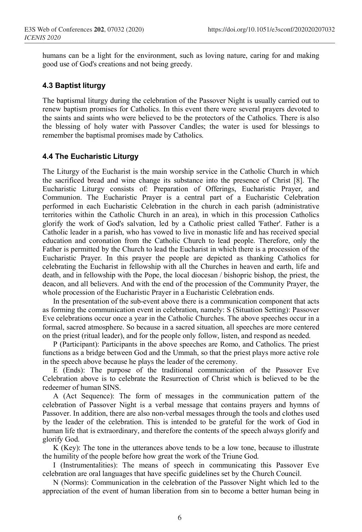humans can be a light for the environment, such as loving nature, caring for and making good use of God's creations and not being greedy.

### **4.3 Baptist liturgy**

The baptismal liturgy during the celebration of the Passover Night is usually carried out to renew baptism promises for Catholics. In this event there were several prayers devoted to the saints and saints who were believed to be the protectors of the Catholics. There is also the blessing of holy water with Passover Candles; the water is used for blessings to remember the baptismal promises made by Catholics.

### **4.4 The Eucharistic Liturgy**

The Liturgy of the Eucharist is the main worship service in the Catholic Church in which the sacrificed bread and wine change its substance into the presence of Christ [8]. The Eucharistic Liturgy consists of: Preparation of Offerings, Eucharistic Prayer, and Communion. The Eucharistic Prayer is a central part of a Eucharistic Celebration performed in each Eucharistic Celebration in the church in each parish (administrative territories within the Catholic Church in an area), in which in this procession Catholics glorify the work of God's salvation, led by a Catholic priest called 'Father'. Father is a Catholic leader in a parish, who has vowed to live in monastic life and has received special education and coronation from the Catholic Church to lead people. Therefore, only the Father is permitted by the Church to lead the Eucharist in which there is a procession of the Eucharistic Prayer. In this prayer the people are depicted as thanking Catholics for celebrating the Eucharist in fellowship with all the Churches in heaven and earth, life and death, and in fellowship with the Pope, the local diocesan / bishopric bishop, the priest, the deacon, and all believers. And with the end of the procession of the Community Prayer, the whole procession of the Eucharistic Prayer in a Eucharistic Celebration ends.

In the presentation of the sub-event above there is a communication component that acts as forming the communication event in celebration, namely: S (Situation Setting): Passover Eve celebrations occur once a year in the Catholic Churches. The above speeches occur in a formal, sacred atmosphere. So because in a sacred situation, all speeches are more centered on the priest (ritual leader), and for the people only follow, listen, and respond as needed.

P (Participant): Participants in the above speeches are Romo, and Catholics. The priest functions as a bridge between God and the Ummah, so that the priest plays more active role in the speech above because he plays the leader of the ceremony.

E (Ends): The purpose of the traditional communication of the Passover Eve Celebration above is to celebrate the Resurrection of Christ which is believed to be the redeemer of human SINS.

A (Act Sequence): The form of messages in the communication pattern of the celebration of Passover Night is a verbal message that contains prayers and hymns of Passover. In addition, there are also non-verbal messages through the tools and clothes used by the leader of the celebration. This is intended to be grateful for the work of God in human life that is extraordinary, and therefore the contents of the speech always glorify and glorify God.

K (Key): The tone in the utterances above tends to be a low tone, because to illustrate the humility of the people before how great the work of the Triune God.

I (Instrumentalities): The means of speech in communicating this Passover Eve celebration are oral languages that have specific guidelines set by the Church Council.

N (Norms): Communication in the celebration of the Passover Night which led to the appreciation of the event of human liberation from sin to become a better human being in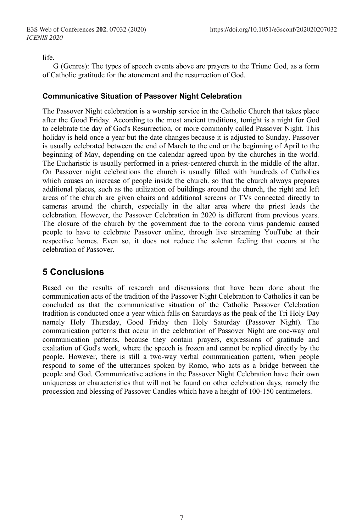life.

G (Genres): The types of speech events above are prayers to the Triune God, as a form of Catholic gratitude for the atonement and the resurrection of God.

### **Communicative Situation of Passover Night Celebration**

The Passover Night celebration is a worship service in the Catholic Church that takes place after the Good Friday. According to the most ancient traditions, tonight is a night for God to celebrate the day of God's Resurrection, or more commonly called Passover Night. This holiday is held once a year but the date changes because it is adjusted to Sunday. Passover is usually celebrated between the end of March to the end or the beginning of April to the beginning of May, depending on the calendar agreed upon by the churches in the world. The Eucharistic is usually performed in a priest-centered church in the middle of the altar. On Passover night celebrations the church is usually filled with hundreds of Catholics which causes an increase of people inside the church. so that the church always prepares additional places, such as the utilization of buildings around the church, the right and left areas of the church are given chairs and additional screens or TVs connected directly to cameras around the church, especially in the altar area where the priest leads the celebration. However, the Passover Celebration in 2020 is different from previous years. The closure of the church by the government due to the corona virus pandemic caused people to have to celebrate Passover online, through live streaming YouTube at their respective homes. Even so, it does not reduce the solemn feeling that occurs at the celebration of Passover.

# **5 Conclusions**

Based on the results of research and discussions that have been done about the communication acts of the tradition of the Passover Night Celebration to Catholics it can be concluded as that the communicative situation of the Catholic Passover Celebration tradition is conducted once a year which falls on Saturdays as the peak of the Tri Holy Day namely Holy Thursday, Good Friday then Holy Saturday (Passover Night). The communication patterns that occur in the celebration of Passover Night are one-way oral communication patterns, because they contain prayers, expressions of gratitude and exaltation of God's work, where the speech is frozen and cannot be replied directly by the people. However, there is still a two-way verbal communication pattern, when people respond to some of the utterances spoken by Romo, who acts as a bridge between the people and God. Communicative actions in the Passover Night Celebration have their own uniqueness or characteristics that will not be found on other celebration days, namely the procession and blessing of Passover Candles which have a height of 100-150 centimeters.